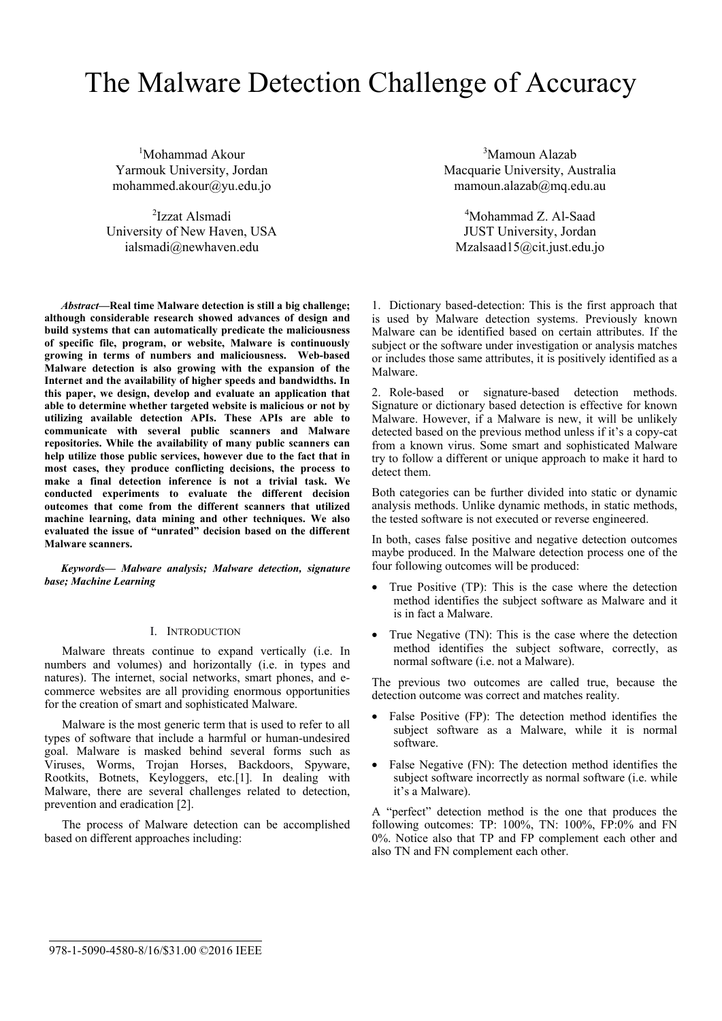# The Malware Detection Challenge of Accuracy

1 Mohammad Akour Yarmouk University, Jordan mohammed.akour@yu.edu.jo

2 Izzat Alsmadi University of New Haven, USA ialsmadi@newhaven.edu

*Abstract***—Real time Malware detection is still a big challenge; although considerable research showed advances of design and build systems that can automatically predicate the maliciousness of specific file, program, or website, Malware is continuously growing in terms of numbers and maliciousness. Web-based Malware detection is also growing with the expansion of the Internet and the availability of higher speeds and bandwidths. In this paper, we design, develop and evaluate an application that able to determine whether targeted website is malicious or not by utilizing available detection APIs. These APIs are able to communicate with several public scanners and Malware repositories. While the availability of many public scanners can help utilize those public services, however due to the fact that in most cases, they produce conflicting decisions, the process to make a final detection inference is not a trivial task. We conducted experiments to evaluate the different decision outcomes that come from the different scanners that utilized machine learning, data mining and other techniques. We also evaluated the issue of "unrated" decision based on the different Malware scanners.** 

*Keywords— Malware analysis; Malware detection, signature base; Machine Learning* 

## I. INTRODUCTION

Malware threats continue to expand vertically (i.e. In numbers and volumes) and horizontally (i.e. in types and natures). The internet, social networks, smart phones, and ecommerce websites are all providing enormous opportunities for the creation of smart and sophisticated Malware.

Malware is the most generic term that is used to refer to all types of software that include a harmful or human-undesired goal. Malware is masked behind several forms such as Viruses, Worms, Trojan Horses, Backdoors, Spyware, Rootkits, Botnets, Keyloggers, etc.[1]. In dealing with Malware, there are several challenges related to detection, prevention and eradication [2].

The process of Malware detection can be accomplished based on different approaches including:

3 Mamoun Alazab Macquarie University, Australia mamoun.alazab@mq.edu.au

4 Mohammad Z. Al-Saad JUST University, Jordan Mzalsaad15@cit.just.edu.jo

1. Dictionary based-detection: This is the first approach that is used by Malware detection systems. Previously known Malware can be identified based on certain attributes. If the subject or the software under investigation or analysis matches or includes those same attributes, it is positively identified as a Malware.

2. Role-based or signature-based detection methods. Signature or dictionary based detection is effective for known Malware. However, if a Malware is new, it will be unlikely detected based on the previous method unless if it's a copy-cat from a known virus. Some smart and sophisticated Malware try to follow a different or unique approach to make it hard to detect them.

Both categories can be further divided into static or dynamic analysis methods. Unlike dynamic methods, in static methods, the tested software is not executed or reverse engineered.

In both, cases false positive and negative detection outcomes maybe produced. In the Malware detection process one of the four following outcomes will be produced:

- True Positive (TP): This is the case where the detection method identifies the subject software as Malware and it is in fact a Malware.
- True Negative (TN): This is the case where the detection method identifies the subject software, correctly, as normal software (i.e. not a Malware).

The previous two outcomes are called true, because the detection outcome was correct and matches reality.

- False Positive (FP): The detection method identifies the subject software as a Malware, while it is normal software.
- False Negative (FN): The detection method identifies the subject software incorrectly as normal software (i.e. while it's a Malware).

A "perfect" detection method is the one that produces the following outcomes: TP: 100%, TN: 100%, FP:0% and FN 0%. Notice also that TP and FP complement each other and also TN and FN complement each other.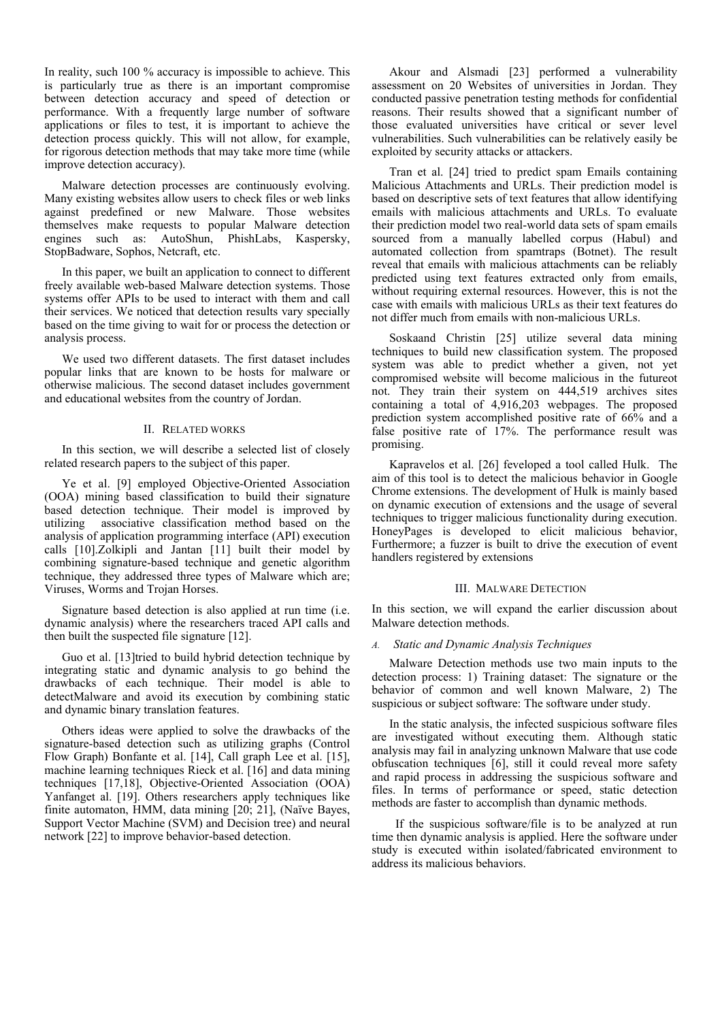In reality, such 100 % accuracy is impossible to achieve. This is particularly true as there is an important compromise between detection accuracy and speed of detection or performance. With a frequently large number of software applications or files to test, it is important to achieve the detection process quickly. This will not allow, for example, for rigorous detection methods that may take more time (while improve detection accuracy).

 Malware detection processes are continuously evolving. Many existing websites allow users to check files or web links against predefined or new Malware. Those websites themselves make requests to popular Malware detection engines such as: AutoShun, PhishLabs, Kaspersky, StopBadware, Sophos, Netcraft, etc.

In this paper, we built an application to connect to different freely available web-based Malware detection systems. Those systems offer APIs to be used to interact with them and call their services. We noticed that detection results vary specially based on the time giving to wait for or process the detection or analysis process.

We used two different datasets. The first dataset includes popular links that are known to be hosts for malware or otherwise malicious. The second dataset includes government and educational websites from the country of Jordan.

## II. RELATED WORKS

In this section, we will describe a selected list of closely related research papers to the subject of this paper.

Ye et al. [9] employed Objective-Oriented Association (OOA) mining based classification to build their signature based detection technique. Their model is improved by utilizing associative classification method based on the analysis of application programming interface (API) execution calls [10].Zolkipli and Jantan [11] built their model by combining signature-based technique and genetic algorithm technique, they addressed three types of Malware which are; Viruses, Worms and Trojan Horses.

Signature based detection is also applied at run time (i.e. dynamic analysis) where the researchers traced API calls and then built the suspected file signature [12].

Guo et al. [13]tried to build hybrid detection technique by integrating static and dynamic analysis to go behind the drawbacks of each technique. Their model is able to detectMalware and avoid its execution by combining static and dynamic binary translation features.

Others ideas were applied to solve the drawbacks of the signature-based detection such as utilizing graphs (Control Flow Graph) Bonfante et al. [14], Call graph Lee et al. [15], machine learning techniques Rieck et al. [16] and data mining techniques [17,18], Objective-Oriented Association (OOA) Yanfanget al. [19]. Others researchers apply techniques like finite automaton, HMM, data mining [20; 21], (Naïve Bayes, Support Vector Machine (SVM) and Decision tree) and neural network [22] to improve behavior-based detection.

Akour and Alsmadi [23] performed a vulnerability assessment on 20 Websites of universities in Jordan. They conducted passive penetration testing methods for confidential reasons. Their results showed that a significant number of those evaluated universities have critical or sever level vulnerabilities. Such vulnerabilities can be relatively easily be exploited by security attacks or attackers.

Tran et al. [24] tried to predict spam Emails containing Malicious Attachments and URLs. Their prediction model is based on descriptive sets of text features that allow identifying emails with malicious attachments and URLs. To evaluate their prediction model two real-world data sets of spam emails sourced from a manually labelled corpus (Habul) and automated collection from spamtraps (Botnet). The result reveal that emails with malicious attachments can be reliably predicted using text features extracted only from emails, without requiring external resources. However, this is not the case with emails with malicious URLs as their text features do not differ much from emails with non-malicious URLs.

Soskaand Christin [25] utilize several data mining techniques to build new classification system. The proposed system was able to predict whether a given, not yet compromised website will become malicious in the futureot not. They train their system on 444,519 archives sites containing a total of 4,916,203 webpages. The proposed prediction system accomplished positive rate of 66% and a false positive rate of 17%. The performance result was promising.

Kapravelos et al. [26] feveloped a tool called Hulk. The aim of this tool is to detect the malicious behavior in Google Chrome extensions. The development of Hulk is mainly based on dynamic execution of extensions and the usage of several techniques to trigger malicious functionality during execution. HoneyPages is developed to elicit malicious behavior, Furthermore; a fuzzer is built to drive the execution of event handlers registered by extensions

#### III. MALWARE DETECTION

In this section, we will expand the earlier discussion about Malware detection methods.

#### *A. Static and Dynamic Analysis Techniques*

Malware Detection methods use two main inputs to the detection process: 1) Training dataset: The signature or the behavior of common and well known Malware, 2) The suspicious or subject software: The software under study.

In the static analysis, the infected suspicious software files are investigated without executing them. Although static analysis may fail in analyzing unknown Malware that use code obfuscation techniques [6], still it could reveal more safety and rapid process in addressing the suspicious software and files. In terms of performance or speed, static detection methods are faster to accomplish than dynamic methods.

 If the suspicious software/file is to be analyzed at run time then dynamic analysis is applied. Here the software under study is executed within isolated/fabricated environment to address its malicious behaviors.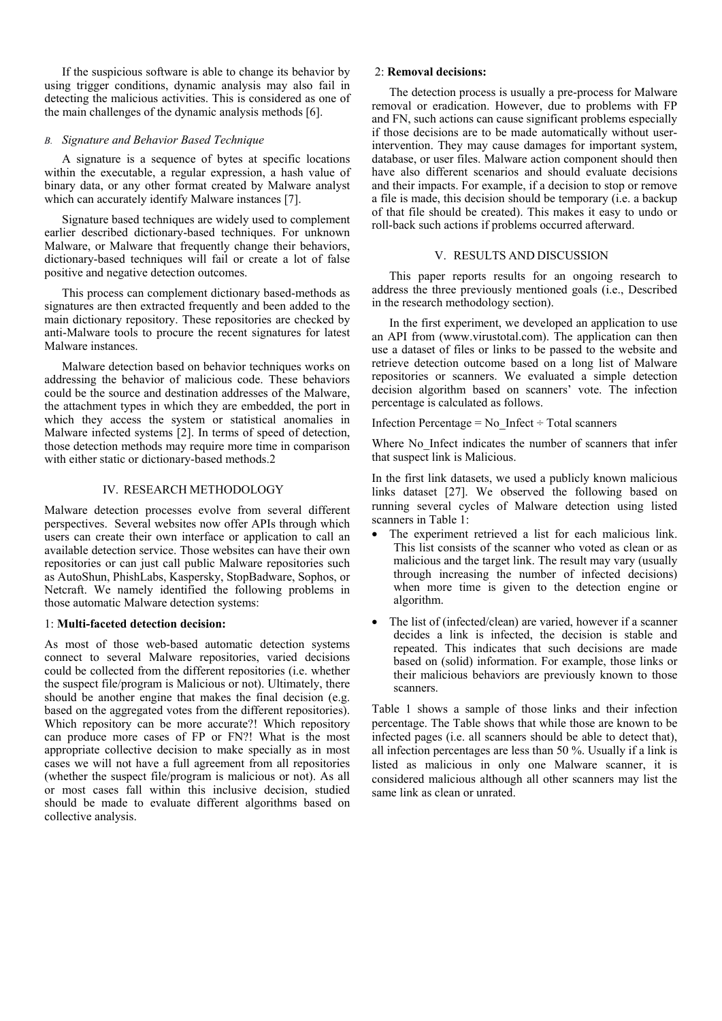If the suspicious software is able to change its behavior by using trigger conditions, dynamic analysis may also fail in detecting the malicious activities. This is considered as one of the main challenges of the dynamic analysis methods [6].

# *B. Signature and Behavior Based Technique*

A signature is a sequence of bytes at specific locations within the executable, a regular expression, a hash value of binary data, or any other format created by Malware analyst which can accurately identify Malware instances [7].

Signature based techniques are widely used to complement earlier described dictionary-based techniques. For unknown Malware, or Malware that frequently change their behaviors, dictionary-based techniques will fail or create a lot of false positive and negative detection outcomes.

This process can complement dictionary based-methods as signatures are then extracted frequently and been added to the main dictionary repository. These repositories are checked by anti-Malware tools to procure the recent signatures for latest Malware instances.

Malware detection based on behavior techniques works on addressing the behavior of malicious code. These behaviors could be the source and destination addresses of the Malware, the attachment types in which they are embedded, the port in which they access the system or statistical anomalies in Malware infected systems [2]. In terms of speed of detection, those detection methods may require more time in comparison with either static or dictionary-based methods.2

# IV. RESEARCH METHODOLOGY

Malware detection processes evolve from several different perspectives. Several websites now offer APIs through which users can create their own interface or application to call an available detection service. Those websites can have their own repositories or can just call public Malware repositories such as AutoShun, PhishLabs, Kaspersky, StopBadware, Sophos, or Netcraft. We namely identified the following problems in those automatic Malware detection systems:

## 1: **Multi-faceted detection decision:**

As most of those web-based automatic detection systems connect to several Malware repositories, varied decisions could be collected from the different repositories (i.e. whether the suspect file/program is Malicious or not). Ultimately, there should be another engine that makes the final decision (e.g. based on the aggregated votes from the different repositories). Which repository can be more accurate?! Which repository can produce more cases of FP or FN?! What is the most appropriate collective decision to make specially as in most cases we will not have a full agreement from all repositories (whether the suspect file/program is malicious or not). As all or most cases fall within this inclusive decision, studied should be made to evaluate different algorithms based on collective analysis.

# 2: **Removal decisions:**

The detection process is usually a pre-process for Malware removal or eradication. However, due to problems with FP and FN, such actions can cause significant problems especially if those decisions are to be made automatically without userintervention. They may cause damages for important system, database, or user files. Malware action component should then have also different scenarios and should evaluate decisions and their impacts. For example, if a decision to stop or remove a file is made, this decision should be temporary (i.e. a backup of that file should be created). This makes it easy to undo or roll-back such actions if problems occurred afterward.

# V. RESULTS AND DISCUSSION

This paper reports results for an ongoing research to address the three previously mentioned goals (i.e., Described in the research methodology section).

In the first experiment, we developed an application to use an API from (www.virustotal.com). The application can then use a dataset of files or links to be passed to the website and retrieve detection outcome based on a long list of Malware repositories or scanners. We evaluated a simple detection decision algorithm based on scanners' vote. The infection percentage is calculated as follows.

Infection Percentage =  $No$  Infect  $\div$  Total scanners

Where No Infect indicates the number of scanners that infer that suspect link is Malicious.

In the first link datasets, we used a publicly known malicious links dataset [27]. We observed the following based on running several cycles of Malware detection using listed scanners in Table 1:

- The experiment retrieved a list for each malicious link. This list consists of the scanner who voted as clean or as malicious and the target link. The result may vary (usually through increasing the number of infected decisions) when more time is given to the detection engine or algorithm.
- The list of (infected/clean) are varied, however if a scanner decides a link is infected, the decision is stable and repeated. This indicates that such decisions are made based on (solid) information. For example, those links or their malicious behaviors are previously known to those scanners.

Table 1 shows a sample of those links and their infection percentage. The Table shows that while those are known to be infected pages (i.e. all scanners should be able to detect that), all infection percentages are less than 50 %. Usually if a link is listed as malicious in only one Malware scanner, it is considered malicious although all other scanners may list the same link as clean or unrated.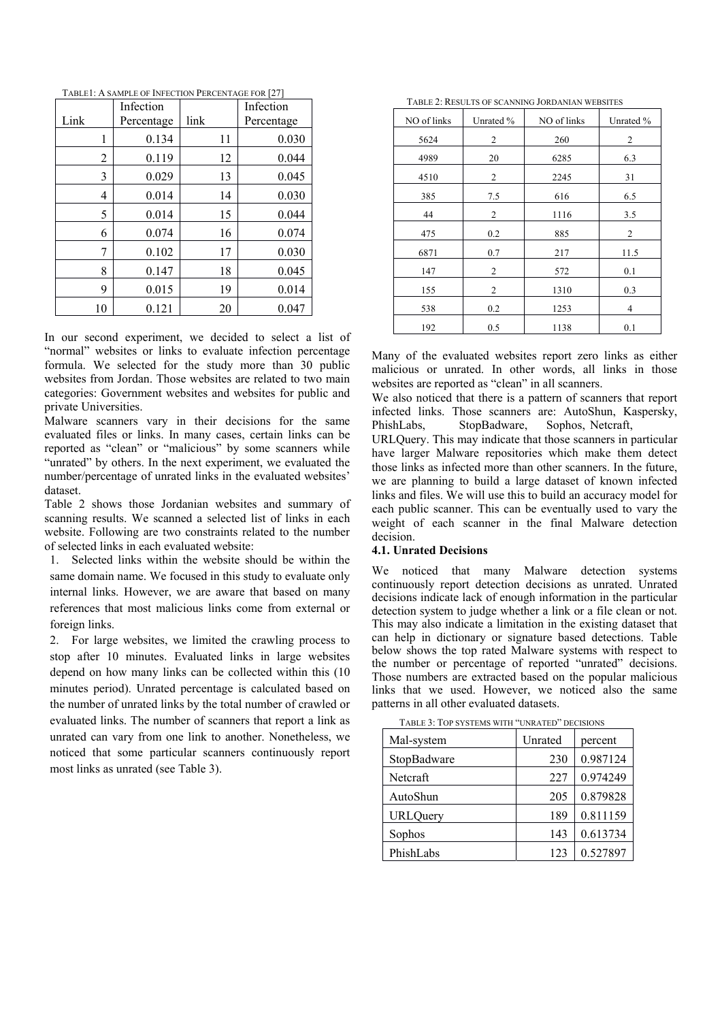| Link | Infection<br>Percentage | link | Infection<br>Percentage |
|------|-------------------------|------|-------------------------|
| 1    | 0.134                   | 11   | 0.030                   |
| 2    | 0.119                   | 12   | 0.044                   |
| 3    | 0.029                   | 13   | 0.045                   |
| 4    | 0.014                   | 14   | 0.030                   |
| 5    | 0.014                   | 15   | 0.044                   |
| 6    | 0.074                   | 16   | 0.074                   |
| 7    | 0.102                   | 17   | 0.030                   |
| 8    | 0.147                   | 18   | 0.045                   |
| 9    | 0.015                   | 19   | 0.014                   |
| 10   | 0.121                   | 20   | 0.047                   |

TABLE<sup>1</sup>: A SAMPLE OF INFECTION PERCENTAGE FOR [27]

In our second experiment, we decided to select a list of "normal" websites or links to evaluate infection percentage formula. We selected for the study more than 30 public websites from Jordan. Those websites are related to two main categories: Government websites and websites for public and private Universities.

Malware scanners vary in their decisions for the same evaluated files or links. In many cases, certain links can be reported as "clean" or "malicious" by some scanners while "unrated" by others. In the next experiment, we evaluated the number/percentage of unrated links in the evaluated websites' dataset.

Table 2 shows those Jordanian websites and summary of scanning results. We scanned a selected list of links in each website. Following are two constraints related to the number of selected links in each evaluated website:

1. Selected links within the website should be within the same domain name. We focused in this study to evaluate only internal links. However, we are aware that based on many references that most malicious links come from external or foreign links.

2. For large websites, we limited the crawling process to stop after 10 minutes. Evaluated links in large websites depend on how many links can be collected within this (10 minutes period). Unrated percentage is calculated based on the number of unrated links by the total number of crawled or evaluated links. The number of scanners that report a link as unrated can vary from one link to another. Nonetheless, we noticed that some particular scanners continuously report most links as unrated (see Table 3).

TABLE 2: RESULTS OF SCANNING JORDANIAN WEBSITES

| NO of links | Unrated %      | NO of links | Unrated %      |
|-------------|----------------|-------------|----------------|
| 5624        | 2              | 260         | 2              |
| 4989        | 20             | 6285        | 6.3            |
| 4510        | 2              | 2245        | 31             |
| 385         | 7.5            | 616         | 6.5            |
| 44          | 2              | 1116        | 3.5            |
| 475         | 0.2            | 885         | $\overline{c}$ |
| 6871        | 0.7            | 217         | 11.5           |
| 147         | $\overline{c}$ | 572         | 0.1            |
| 155         | 2              | 1310        | 0.3            |
| 538         | 0.2            | 1253        | 4              |
| 192         | 0.5            | 1138        | 0.1            |

Many of the evaluated websites report zero links as either malicious or unrated. In other words, all links in those websites are reported as "clean" in all scanners.

We also noticed that there is a pattern of scanners that report infected links. Those scanners are: AutoShun, Kaspersky, PhishLabs, StopBadware, Sophos, Netcraft,

URLQuery. This may indicate that those scanners in particular have larger Malware repositories which make them detect those links as infected more than other scanners. In the future, we are planning to build a large dataset of known infected links and files. We will use this to build an accuracy model for each public scanner. This can be eventually used to vary the weight of each scanner in the final Malware detection decision.

#### **4.1. Unrated Decisions**

We noticed that many Malware detection systems continuously report detection decisions as unrated. Unrated decisions indicate lack of enough information in the particular detection system to judge whether a link or a file clean or not. This may also indicate a limitation in the existing dataset that can help in dictionary or signature based detections. Table below shows the top rated Malware systems with respect to the number or percentage of reported "unrated" decisions. Those numbers are extracted based on the popular malicious links that we used. However, we noticed also the same patterns in all other evaluated datasets.

| Mal-system      | Unrated | percent  |
|-----------------|---------|----------|
| StopBadware     | 230     | 0.987124 |
| Netcraft        | 227     | 0.974249 |
| AutoShun        | 205     | 0.879828 |
| <b>URLQuery</b> | 189     | 0.811159 |
| Sophos          | 143     | 0.613734 |
| PhishLabs       | 123     | 0.527897 |

TABLE 3: TOP SYSTEMS WITH "UNRATED" DECISIONS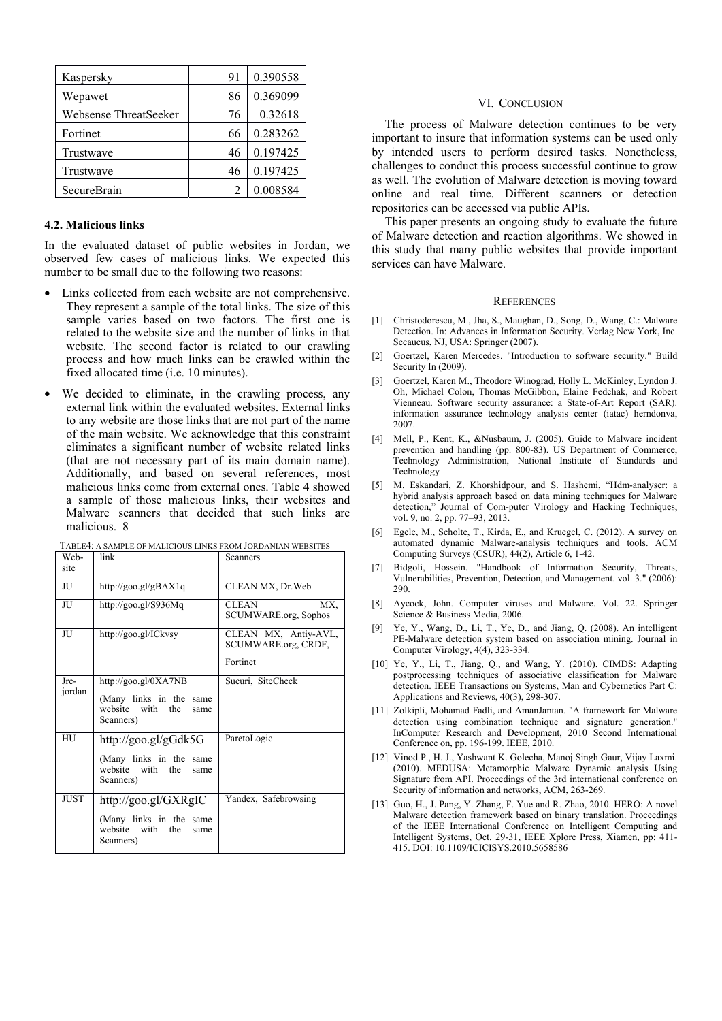| Kaspersky             | 91 | 0.390558 |
|-----------------------|----|----------|
| Wepawet               | 86 | 0.369099 |
| Websense ThreatSeeker | 76 | 0.32618  |
| Fortinet              | 66 | 0.283262 |
| Trustwave             | 46 | 0.197425 |
| Trustwave             | 46 | 0.197425 |
| SecureBrain           | 2  | 0.008584 |

### **4.2. Malicious links**

In the evaluated dataset of public websites in Jordan, we observed few cases of malicious links. We expected this number to be small due to the following two reasons:

- Links collected from each website are not comprehensive. They represent a sample of the total links. The size of this sample varies based on two factors. The first one is related to the website size and the number of links in that website. The second factor is related to our crawling process and how much links can be crawled within the fixed allocated time (i.e. 10 minutes).
- We decided to eliminate, in the crawling process, any external link within the evaluated websites. External links to any website are those links that are not part of the name of the main website. We acknowledge that this constraint eliminates a significant number of website related links (that are not necessary part of its main domain name). Additionally, and based on several references, most malicious links come from external ones. Table 4 showed a sample of those malicious links, their websites and Malware scanners that decided that such links are malicious. 8

| Web-<br>site | link                                                                | Scanners                                    |
|--------------|---------------------------------------------------------------------|---------------------------------------------|
| JU           | http://goo.gl/gBAX1q                                                | CLEAN MX, Dr. Web                           |
| JU           | http://goo.gl/S936Mq                                                | <b>CLEAN</b><br>MX.<br>SCUMWARE.org, Sophos |
| JU           | http://goo.gl/ICkvsy                                                | CLEAN MX, Antiy-AVL,<br>SCUMWARE.org, CRDF, |
|              |                                                                     | Fortinet                                    |
| $_{\rm Jrc}$ | http://goo.gl/0XA7NB                                                | Sucuri, SiteCheck                           |
| jordan       | (Many links in the<br>same<br>website with the<br>same<br>Scanners) |                                             |
| HU           | http://goo.gl/gGdk5G                                                | ParetoLogic                                 |
|              | (Many links in the<br>same<br>website with the<br>same<br>Scanners) |                                             |
| <b>JUST</b>  | http://goo.gl/GXRgIC                                                | Yandex, Safebrowsing                        |
|              | (Many links in the<br>same<br>website with the<br>same<br>Scanners) |                                             |

TABLE4: A SAMPLE OF MALICIOUS LINKS FROM JORDANIAN WEBSITES

# VI. CONCLUSION

The process of Malware detection continues to be very important to insure that information systems can be used only by intended users to perform desired tasks. Nonetheless, challenges to conduct this process successful continue to grow as well. The evolution of Malware detection is moving toward online and real time. Different scanners or detection repositories can be accessed via public APIs.

This paper presents an ongoing study to evaluate the future of Malware detection and reaction algorithms. We showed in this study that many public websites that provide important services can have Malware.

#### **REFERENCES**

- [1] Christodorescu, M., Jha, S., Maughan, D., Song, D., Wang, C.: Malware Detection. In: Advances in Information Security. Verlag New York, Inc. Secaucus, NJ, USA: Springer (2007).
- [2] Goertzel, Karen Mercedes. "Introduction to software security." Build Security In (2009).
- [3] Goertzel, Karen M., Theodore Winograd, Holly L. McKinley, Lyndon J. Oh, Michael Colon, Thomas McGibbon, Elaine Fedchak, and Robert Vienneau. Software security assurance: a State-of-Art Report (SAR). information assurance technology analysis center (iatac) herndonva, 2007.
- [4] Mell, P., Kent, K., &Nusbaum, J. (2005). Guide to Malware incident prevention and handling (pp. 800-83). US Department of Commerce, Technology Administration, National Institute of Standards and Technology
- [5] M. Eskandari, Z. Khorshidpour, and S. Hashemi, "Hdm-analyser: a hybrid analysis approach based on data mining techniques for Malware detection," Journal of Com-puter Virology and Hacking Techniques, vol. 9, no. 2, pp. 77–93, 2013.
- [6] Egele, M., Scholte, T., Kirda, E., and Kruegel, C. (2012). A survey on automated dynamic Malware-analysis techniques and tools. ACM Computing Surveys (CSUR), 44(2), Article 6, 1-42.
- [7] Bidgoli, Hossein. "Handbook of Information Security, Threats, Vulnerabilities, Prevention, Detection, and Management. vol. 3." (2006): 290.
- [8] Aycock, John. Computer viruses and Malware. Vol. 22. Springer Science & Business Media, 2006.
- [9] Ye, Y., Wang, D., Li, T., Ye, D., and Jiang, Q. (2008). An intelligent PE-Malware detection system based on association mining. Journal in Computer Virology, 4(4), 323-334.
- [10] Ye, Y., Li, T., Jiang, Q., and Wang, Y. (2010). CIMDS: Adapting postprocessing techniques of associative classification for Malware detection. IEEE Transactions on Systems, Man and Cybernetics Part C: Applications and Reviews, 40(3), 298-307.
- [11] Zolkipli, Mohamad Fadli, and AmanJantan. "A framework for Malware detection using combination technique and signature generation." InComputer Research and Development, 2010 Second International Conference on, pp. 196-199. IEEE, 2010.
- [12] Vinod P., H. J., Yashwant K. Golecha, Manoj Singh Gaur, Vijay Laxmi. (2010). MEDUSA: Metamorphic Malware Dynamic analysis Using Signature from API. Proceedings of the 3rd international conference on Security of information and networks, ACM, 263-269.
- [13] Guo, H., J. Pang, Y. Zhang, F. Yue and R. Zhao, 2010. HERO: A novel Malware detection framework based on binary translation. Proceedings of the IEEE International Conference on Intelligent Computing and Intelligent Systems, Oct. 29-31, IEEE Xplore Press, Xiamen, pp: 411- 415. DOI: 10.1109/ICICISYS.2010.5658586